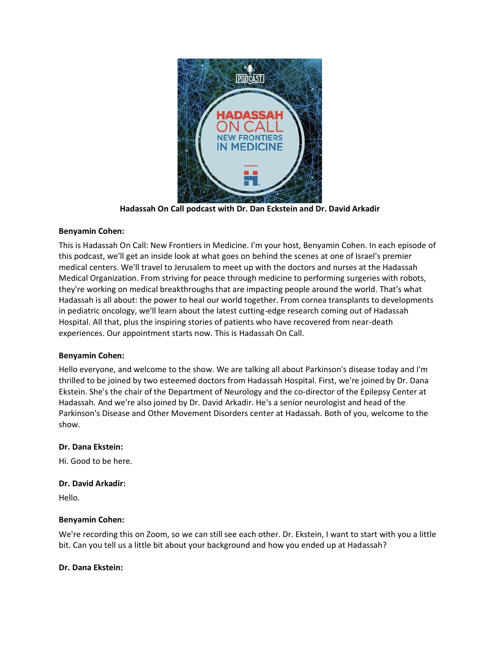

**Hadassah On Call podcast with Dr. Dan Eckstein and Dr. David Arkadir**

# **Benyamin Cohen:**

This is Hadassah On Call: New Frontiers in Medicine. I'm your host, Benyamin Cohen. In each episode of this podcast, we'll get an inside look at what goes on behind the scenes at one of Israel's premier medical centers. We'll travel to Jerusalem to meet up with the doctors and nurses at the Hadassah Medical Organization. From striving for peace through medicine to performing surgeries with robots, they're working on medical breakthroughs that are impacting people around the world. That's what Hadassah is all about: the power to heal our world together. From cornea transplants to developments in pediatric oncology, we'll learn about the latest cutting-edge research coming out of Hadassah Hospital. All that, plus the inspiring stories of patients who have recovered from near-death experiences. Our appointment starts now. This is Hadassah On Call.

## **Benyamin Cohen:**

Hello everyone, and welcome to the show. We are talking all about Parkinson's disease today and I'm thrilled to be joined by two esteemed doctors from Hadassah Hospital. First, we're joined by Dr. Dana Ekstein. She's the chair of the Department of Neurology and the co-director of the Epilepsy Center at Hadassah. And we're also joined by Dr. David Arkadir. He's a senior neurologist and head of the Parkinson's Disease and Other Movement Disorders center at Hadassah. Both of you, welcome to the show.

## **Dr. Dana Ekstein:**

Hi. Good to be here.

## **Dr. David Arkadir:**

Hello.

## **Benyamin Cohen:**

We're recording this on Zoom, so we can still see each other. Dr. Ekstein, I want to start with you a little bit. Can you tell us a little bit about your background and how you ended up at Hadassah?

## **Dr. Dana Ekstein:**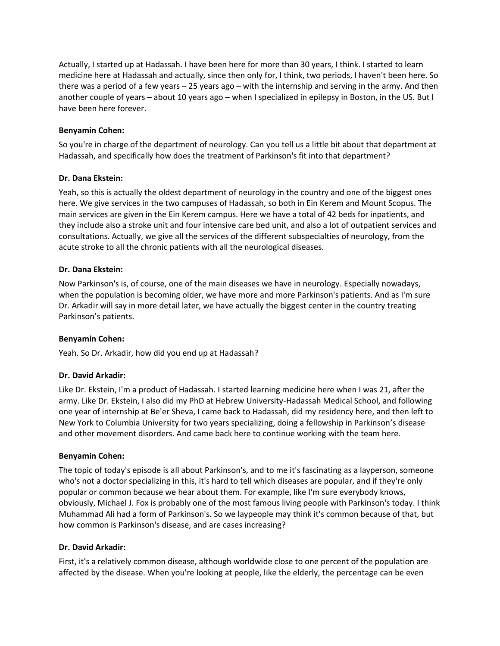Actually, I started up at Hadassah. I have been here for more than 30 years, I think. I started to learn medicine here at Hadassah and actually, since then only for, I think, two periods, I haven't been here. So there was a period of a few years – 25 years ago – with the internship and serving in the army. And then another couple of years – about 10 years ago – when I specialized in epilepsy in Boston, in the US. But I have been here forever.

### **Benyamin Cohen:**

So you're in charge of the department of neurology. Can you tell us a little bit about that department at Hadassah, and specifically how does the treatment of Parkinson's fit into that department?

### **Dr. Dana Ekstein:**

Yeah, so this is actually the oldest department of neurology in the country and one of the biggest ones here. We give services in the two campuses of Hadassah, so both in Ein Kerem and Mount Scopus. The main services are given in the Ein Kerem campus. Here we have a total of 42 beds for inpatients, and they include also a stroke unit and four intensive care bed unit, and also a lot of outpatient services and consultations. Actually, we give all the services of the different subspecialties of neurology, from the acute stroke to all the chronic patients with all the neurological diseases.

### **Dr. Dana Ekstein:**

Now Parkinson's is, of course, one of the main diseases we have in neurology. Especially nowadays, when the population is becoming older, we have more and more Parkinson's patients. And as I'm sure Dr. Arkadir will say in more detail later, we have actually the biggest center in the country treating Parkinson's patients.

## **Benyamin Cohen:**

Yeah. So Dr. Arkadir, how did you end up at Hadassah?

## **Dr. David Arkadir:**

Like Dr. Ekstein, I'm a product of Hadassah. I started learning medicine here when I was 21, after the army. Like Dr. Ekstein, I also did my PhD at Hebrew University-Hadassah Medical School, and following one year of internship at Be'er Sheva, I came back to Hadassah, did my residency here, and then left to New York to Columbia University for two years specializing, doing a fellowship in Parkinson's disease and other movement disorders. And came back here to continue working with the team here.

#### **Benyamin Cohen:**

The topic of today's episode is all about Parkinson's, and to me it's fascinating as a layperson, someone who's not a doctor specializing in this, it's hard to tell which diseases are popular, and if they're only popular or common because we hear about them. For example, like I'm sure everybody knows, obviously, Michael J. Fox is probably one of the most famous living people with Parkinson's today. I think Muhammad Ali had a form of Parkinson's. So we laypeople may think it's common because of that, but how common is Parkinson's disease, and are cases increasing?

#### **Dr. David Arkadir:**

First, it's a relatively common disease, although worldwide close to one percent of the population are affected by the disease. When you're looking at people, like the elderly, the percentage can be even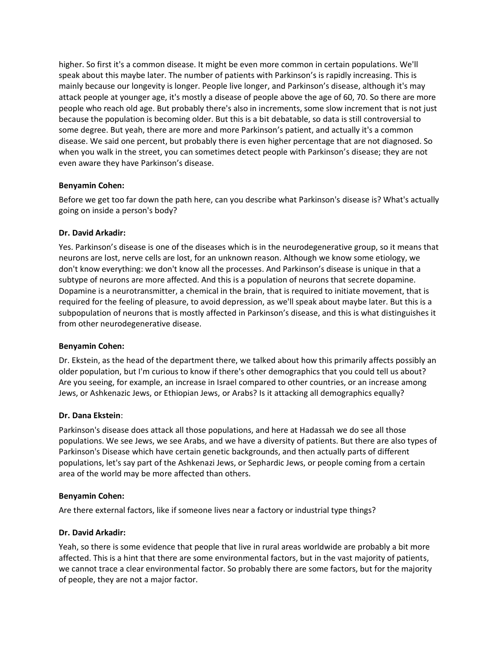higher. So first it's a common disease. It might be even more common in certain populations. We'll speak about this maybe later. The number of patients with Parkinson's is rapidly increasing. This is mainly because our longevity is longer. People live longer, and Parkinson's disease, although it's may attack people at younger age, it's mostly a disease of people above the age of 60, 70. So there are more people who reach old age. But probably there's also in increments, some slow increment that is not just because the population is becoming older. But this is a bit debatable, so data is still controversial to some degree. But yeah, there are more and more Parkinson's patient, and actually it's a common disease. We said one percent, but probably there is even higher percentage that are not diagnosed. So when you walk in the street, you can sometimes detect people with Parkinson's disease; they are not even aware they have Parkinson's disease.

## **Benyamin Cohen:**

Before we get too far down the path here, can you describe what Parkinson's disease is? What's actually going on inside a person's body?

## **Dr. David Arkadir:**

Yes. Parkinson's disease is one of the diseases which is in the neurodegenerative group, so it means that neurons are lost, nerve cells are lost, for an unknown reason. Although we know some etiology, we don't know everything: we don't know all the processes. And Parkinson's disease is unique in that a subtype of neurons are more affected. And this is a population of neurons that secrete dopamine. Dopamine is a neurotransmitter, a chemical in the brain, that is required to initiate movement, that is required for the feeling of pleasure, to avoid depression, as we'll speak about maybe later. But this is a subpopulation of neurons that is mostly affected in Parkinson's disease, and this is what distinguishes it from other neurodegenerative disease.

## **Benyamin Cohen:**

Dr. Ekstein, as the head of the department there, we talked about how this primarily affects possibly an older population, but I'm curious to know if there's other demographics that you could tell us about? Are you seeing, for example, an increase in Israel compared to other countries, or an increase among Jews, or Ashkenazic Jews, or Ethiopian Jews, or Arabs? Is it attacking all demographics equally?

## **Dr. Dana Ekstein**:

Parkinson's disease does attack all those populations, and here at Hadassah we do see all those populations. We see Jews, we see Arabs, and we have a diversity of patients. But there are also types of Parkinson's Disease which have certain genetic backgrounds, and then actually parts of different populations, let's say part of the Ashkenazi Jews, or Sephardic Jews, or people coming from a certain area of the world may be more affected than others.

## **Benyamin Cohen:**

Are there external factors, like if someone lives near a factory or industrial type things?

## **Dr. David Arkadir:**

Yeah, so there is some evidence that people that live in rural areas worldwide are probably a bit more affected. This is a hint that there are some environmental factors, but in the vast majority of patients, we cannot trace a clear environmental factor. So probably there are some factors, but for the majority of people, they are not a major factor.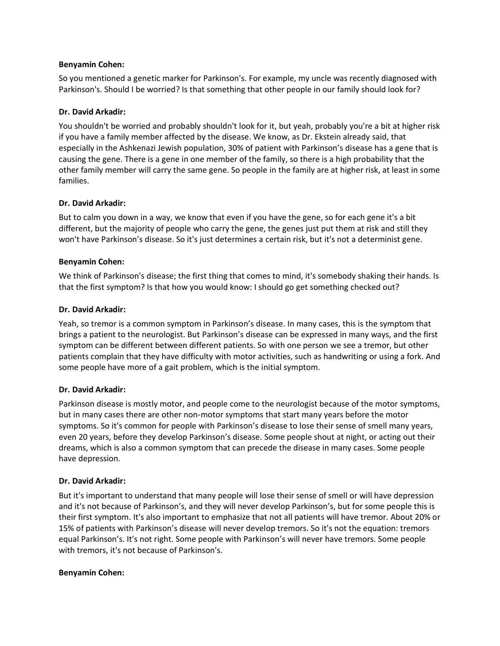### **Benyamin Cohen:**

So you mentioned a genetic marker for Parkinson's. For example, my uncle was recently diagnosed with Parkinson's. Should I be worried? Is that something that other people in our family should look for?

# **Dr. David Arkadir:**

You shouldn't be worried and probably shouldn't look for it, but yeah, probably you're a bit at higher risk if you have a family member affected by the disease. We know, as Dr. Ekstein already said, that especially in the Ashkenazi Jewish population, 30% of patient with Parkinson's disease has a gene that is causing the gene. There is a gene in one member of the family, so there is a high probability that the other family member will carry the same gene. So people in the family are at higher risk, at least in some families.

## **Dr. David Arkadir:**

But to calm you down in a way, we know that even if you have the gene, so for each gene it's a bit different, but the majority of people who carry the gene, the genes just put them at risk and still they won't have Parkinson's disease. So it's just determines a certain risk, but it's not a determinist gene.

## **Benyamin Cohen:**

We think of Parkinson's disease; the first thing that comes to mind, it's somebody shaking their hands. Is that the first symptom? Is that how you would know: I should go get something checked out?

## **Dr. David Arkadir:**

Yeah, so tremor is a common symptom in Parkinson's disease. In many cases, this is the symptom that brings a patient to the neurologist. But Parkinson's disease can be expressed in many ways, and the first symptom can be different between different patients. So with one person we see a tremor, but other patients complain that they have difficulty with motor activities, such as handwriting or using a fork. And some people have more of a gait problem, which is the initial symptom.

## **Dr. David Arkadir:**

Parkinson disease is mostly motor, and people come to the neurologist because of the motor symptoms, but in many cases there are other non-motor symptoms that start many years before the motor symptoms. So it's common for people with Parkinson's disease to lose their sense of smell many years, even 20 years, before they develop Parkinson's disease. Some people shout at night, or acting out their dreams, which is also a common symptom that can precede the disease in many cases. Some people have depression.

## **Dr. David Arkadir:**

But it's important to understand that many people will lose their sense of smell or will have depression and it's not because of Parkinson's, and they will never develop Parkinson's, but for some people this is their first symptom. It's also important to emphasize that not all patients will have tremor. About 20% or 15% of patients with Parkinson's disease will never develop tremors. So it's not the equation: tremors equal Parkinson's. It's not right. Some people with Parkinson's will never have tremors. Some people with tremors, it's not because of Parkinson's.

## **Benyamin Cohen:**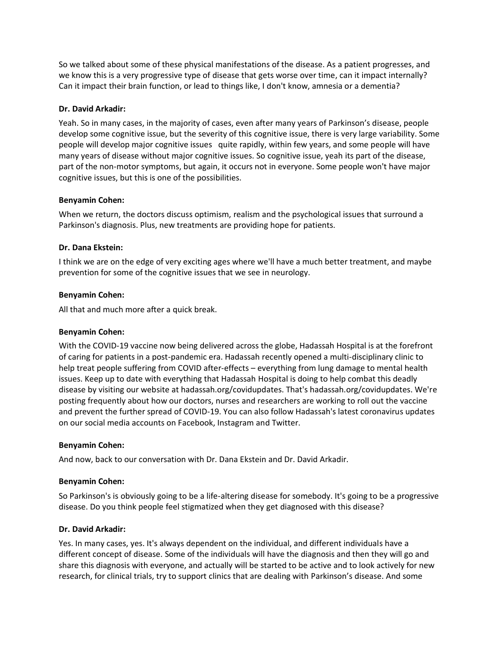So we talked about some of these physical manifestations of the disease. As a patient progresses, and we know this is a very progressive type of disease that gets worse over time, can it impact internally? Can it impact their brain function, or lead to things like, I don't know, amnesia or a dementia?

### **Dr. David Arkadir:**

Yeah. So in many cases, in the majority of cases, even after many years of Parkinson's disease, people develop some cognitive issue, but the severity of this cognitive issue, there is very large variability. Some people will develop major cognitive issues quite rapidly, within few years, and some people will have many years of disease without major cognitive issues. So cognitive issue, yeah its part of the disease, part of the non-motor symptoms, but again, it occurs not in everyone. Some people won't have major cognitive issues, but this is one of the possibilities.

### **Benyamin Cohen:**

When we return, the doctors discuss optimism, realism and the psychological issues that surround a Parkinson's diagnosis. Plus, new treatments are providing hope for patients.

## **Dr. Dana Ekstein:**

I think we are on the edge of very exciting ages where we'll have a much better treatment, and maybe prevention for some of the cognitive issues that we see in neurology.

### **Benyamin Cohen:**

All that and much more after a quick break.

## **Benyamin Cohen:**

With the COVID-19 vaccine now being delivered across the globe, Hadassah Hospital is at the forefront of caring for patients in a post-pandemic era. Hadassah recently opened a multi-disciplinary clinic to help treat people suffering from COVID after-effects – everything from lung damage to mental health issues. Keep up to date with everything that Hadassah Hospital is doing to help combat this deadly disease by visiting our website at hadassah.org/covidupdates. That's hadassah.org/covidupdates. We're posting frequently about how our doctors, nurses and researchers are working to roll out the vaccine and prevent the further spread of COVID-19. You can also follow Hadassah's latest coronavirus updates on our social media accounts on Facebook, Instagram and Twitter.

#### **Benyamin Cohen:**

And now, back to our conversation with Dr. Dana Ekstein and Dr. David Arkadir.

## **Benyamin Cohen:**

So Parkinson's is obviously going to be a life-altering disease for somebody. It's going to be a progressive disease. Do you think people feel stigmatized when they get diagnosed with this disease?

## **Dr. David Arkadir:**

Yes. In many cases, yes. It's always dependent on the individual, and different individuals have a different concept of disease. Some of the individuals will have the diagnosis and then they will go and share this diagnosis with everyone, and actually will be started to be active and to look actively for new research, for clinical trials, try to support clinics that are dealing with Parkinson's disease. And some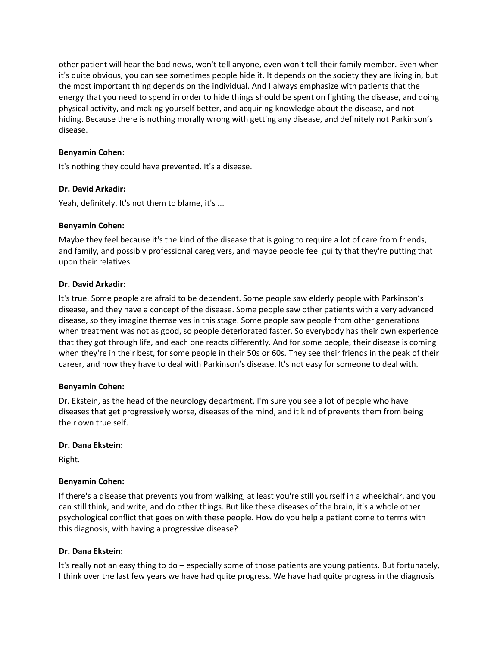other patient will hear the bad news, won't tell anyone, even won't tell their family member. Even when it's quite obvious, you can see sometimes people hide it. It depends on the society they are living in, but the most important thing depends on the individual. And I always emphasize with patients that the energy that you need to spend in order to hide things should be spent on fighting the disease, and doing physical activity, and making yourself better, and acquiring knowledge about the disease, and not hiding. Because there is nothing morally wrong with getting any disease, and definitely not Parkinson's disease.

# **Benyamin Cohen**:

It's nothing they could have prevented. It's a disease.

## **Dr. David Arkadir:**

Yeah, definitely. It's not them to blame, it's ...

# **Benyamin Cohen:**

Maybe they feel because it's the kind of the disease that is going to require a lot of care from friends, and family, and possibly professional caregivers, and maybe people feel guilty that they're putting that upon their relatives.

# **Dr. David Arkadir:**

It's true. Some people are afraid to be dependent. Some people saw elderly people with Parkinson's disease, and they have a concept of the disease. Some people saw other patients with a very advanced disease, so they imagine themselves in this stage. Some people saw people from other generations when treatment was not as good, so people deteriorated faster. So everybody has their own experience that they got through life, and each one reacts differently. And for some people, their disease is coming when they're in their best, for some people in their 50s or 60s. They see their friends in the peak of their career, and now they have to deal with Parkinson's disease. It's not easy for someone to deal with.

## **Benyamin Cohen:**

Dr. Ekstein, as the head of the neurology department, I'm sure you see a lot of people who have diseases that get progressively worse, diseases of the mind, and it kind of prevents them from being their own true self.

## **Dr. Dana Ekstein:**

Right.

## **Benyamin Cohen:**

If there's a disease that prevents you from walking, at least you're still yourself in a wheelchair, and you can still think, and write, and do other things. But like these diseases of the brain, it's a whole other psychological conflict that goes on with these people. How do you help a patient come to terms with this diagnosis, with having a progressive disease?

## **Dr. Dana Ekstein:**

It's really not an easy thing to do – especially some of those patients are young patients. But fortunately, I think over the last few years we have had quite progress. We have had quite progress in the diagnosis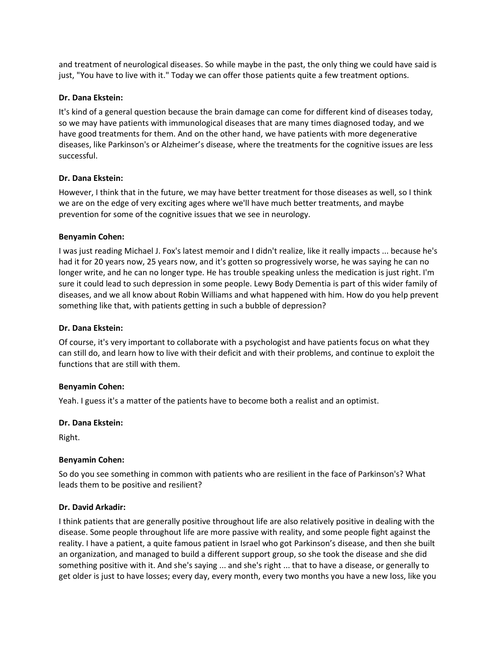and treatment of neurological diseases. So while maybe in the past, the only thing we could have said is just, "You have to live with it." Today we can offer those patients quite a few treatment options.

## **Dr. Dana Ekstein:**

It's kind of a general question because the brain damage can come for different kind of diseases today, so we may have patients with immunological diseases that are many times diagnosed today, and we have good treatments for them. And on the other hand, we have patients with more degenerative diseases, like Parkinson's or Alzheimer's disease, where the treatments for the cognitive issues are less successful.

## **Dr. Dana Ekstein:**

However, I think that in the future, we may have better treatment for those diseases as well, so I think we are on the edge of very exciting ages where we'll have much better treatments, and maybe prevention for some of the cognitive issues that we see in neurology.

### **Benyamin Cohen:**

I was just reading Michael J. Fox's latest memoir and I didn't realize, like it really impacts ... because he's had it for 20 years now, 25 years now, and it's gotten so progressively worse, he was saying he can no longer write, and he can no longer type. He has trouble speaking unless the medication is just right. I'm sure it could lead to such depression in some people. Lewy Body Dementia is part of this wider family of diseases, and we all know about Robin Williams and what happened with him. How do you help prevent something like that, with patients getting in such a bubble of depression?

### **Dr. Dana Ekstein:**

Of course, it's very important to collaborate with a psychologist and have patients focus on what they can still do, and learn how to live with their deficit and with their problems, and continue to exploit the functions that are still with them.

#### **Benyamin Cohen:**

Yeah. I guess it's a matter of the patients have to become both a realist and an optimist.

#### **Dr. Dana Ekstein:**

Right.

#### **Benyamin Cohen:**

So do you see something in common with patients who are resilient in the face of Parkinson's? What leads them to be positive and resilient?

#### **Dr. David Arkadir:**

I think patients that are generally positive throughout life are also relatively positive in dealing with the disease. Some people throughout life are more passive with reality, and some people fight against the reality. I have a patient, a quite famous patient in Israel who got Parkinson's disease, and then she built an organization, and managed to build a different support group, so she took the disease and she did something positive with it. And she's saying ... and she's right ... that to have a disease, or generally to get older is just to have losses; every day, every month, every two months you have a new loss, like you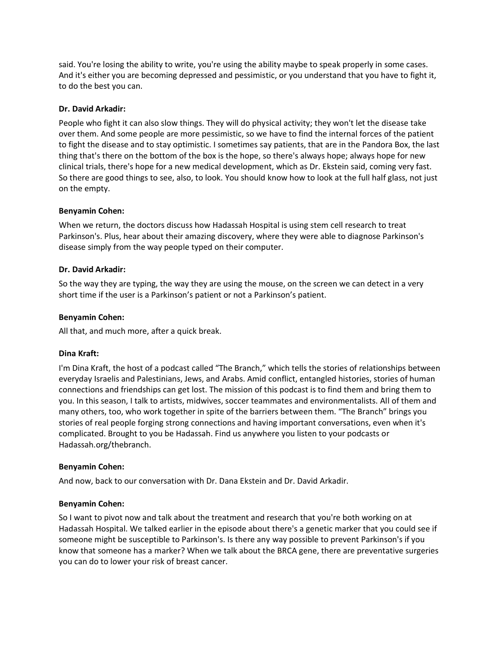said. You're losing the ability to write, you're using the ability maybe to speak properly in some cases. And it's either you are becoming depressed and pessimistic, or you understand that you have to fight it, to do the best you can.

### **Dr. David Arkadir:**

People who fight it can also slow things. They will do physical activity; they won't let the disease take over them. And some people are more pessimistic, so we have to find the internal forces of the patient to fight the disease and to stay optimistic. I sometimes say patients, that are in the Pandora Box, the last thing that's there on the bottom of the box is the hope, so there's always hope; always hope for new clinical trials, there's hope for a new medical development, which as Dr. Ekstein said, coming very fast. So there are good things to see, also, to look. You should know how to look at the full half glass, not just on the empty.

### **Benyamin Cohen:**

When we return, the doctors discuss how Hadassah Hospital is using stem cell research to treat Parkinson's. Plus, hear about their amazing discovery, where they were able to diagnose Parkinson's disease simply from the way people typed on their computer.

### **Dr. David Arkadir:**

So the way they are typing, the way they are using the mouse, on the screen we can detect in a very short time if the user is a Parkinson's patient or not a Parkinson's patient.

### **Benyamin Cohen:**

All that, and much more, after a quick break.

## **Dina Kraft:**

I'm Dina Kraft, the host of a podcast called "The Branch," which tells the stories of relationships between everyday Israelis and Palestinians, Jews, and Arabs. Amid conflict, entangled histories, stories of human connections and friendships can get lost. The mission of this podcast is to find them and bring them to you. In this season, I talk to artists, midwives, soccer teammates and environmentalists. All of them and many others, too, who work together in spite of the barriers between them. "The Branch" brings you stories of real people forging strong connections and having important conversations, even when it's complicated. Brought to you be Hadassah. Find us anywhere you listen to your podcasts or Hadassah.org/thebranch.

## **Benyamin Cohen:**

And now, back to our conversation with Dr. Dana Ekstein and Dr. David Arkadir.

## **Benyamin Cohen:**

So I want to pivot now and talk about the treatment and research that you're both working on at Hadassah Hospital. We talked earlier in the episode about there's a genetic marker that you could see if someone might be susceptible to Parkinson's. Is there any way possible to prevent Parkinson's if you know that someone has a marker? When we talk about the BRCA gene, there are preventative surgeries you can do to lower your risk of breast cancer.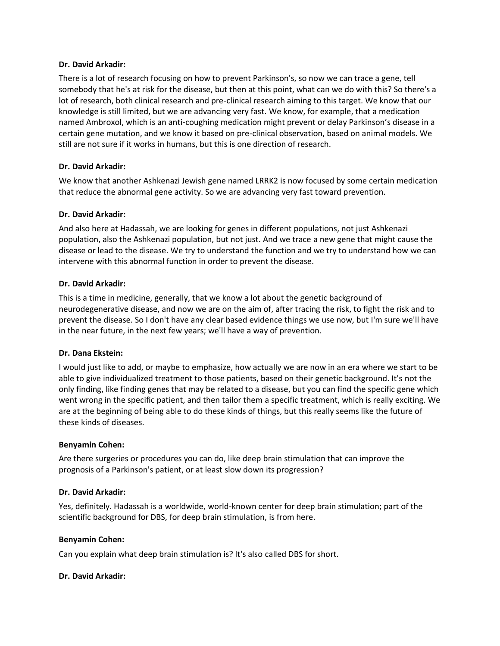### **Dr. David Arkadir:**

There is a lot of research focusing on how to prevent Parkinson's, so now we can trace a gene, tell somebody that he's at risk for the disease, but then at this point, what can we do with this? So there's a lot of research, both clinical research and pre-clinical research aiming to this target. We know that our knowledge is still limited, but we are advancing very fast. We know, for example, that a medication named Ambroxol, which is an anti-coughing medication might prevent or delay Parkinson's disease in a certain gene mutation, and we know it based on pre-clinical observation, based on animal models. We still are not sure if it works in humans, but this is one direction of research.

# **Dr. David Arkadir:**

We know that another Ashkenazi Jewish gene named LRRK2 is now focused by some certain medication that reduce the abnormal gene activity. So we are advancing very fast toward prevention.

## **Dr. David Arkadir:**

And also here at Hadassah, we are looking for genes in different populations, not just Ashkenazi population, also the Ashkenazi population, but not just. And we trace a new gene that might cause the disease or lead to the disease. We try to understand the function and we try to understand how we can intervene with this abnormal function in order to prevent the disease.

## **Dr. David Arkadir:**

This is a time in medicine, generally, that we know a lot about the genetic background of neurodegenerative disease, and now we are on the aim of, after tracing the risk, to fight the risk and to prevent the disease. So I don't have any clear based evidence things we use now, but I'm sure we'll have in the near future, in the next few years; we'll have a way of prevention.

## **Dr. Dana Ekstein:**

I would just like to add, or maybe to emphasize, how actually we are now in an era where we start to be able to give individualized treatment to those patients, based on their genetic background. It's not the only finding, like finding genes that may be related to a disease, but you can find the specific gene which went wrong in the specific patient, and then tailor them a specific treatment, which is really exciting. We are at the beginning of being able to do these kinds of things, but this really seems like the future of these kinds of diseases.

#### **Benyamin Cohen:**

Are there surgeries or procedures you can do, like deep brain stimulation that can improve the prognosis of a Parkinson's patient, or at least slow down its progression?

## **Dr. David Arkadir:**

Yes, definitely. Hadassah is a worldwide, world-known center for deep brain stimulation; part of the scientific background for DBS, for deep brain stimulation, is from here.

#### **Benyamin Cohen:**

Can you explain what deep brain stimulation is? It's also called DBS for short.

## **Dr. David Arkadir:**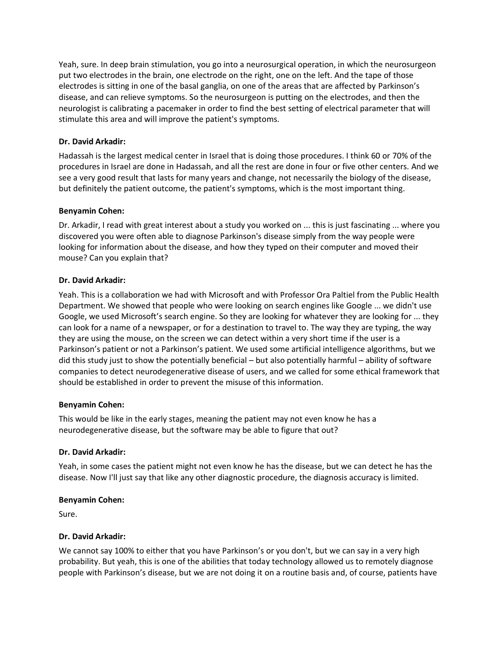Yeah, sure. In deep brain stimulation, you go into a neurosurgical operation, in which the neurosurgeon put two electrodes in the brain, one electrode on the right, one on the left. And the tape of those electrodes is sitting in one of the basal ganglia, on one of the areas that are affected by Parkinson's disease, and can relieve symptoms. So the neurosurgeon is putting on the electrodes, and then the neurologist is calibrating a pacemaker in order to find the best setting of electrical parameter that will stimulate this area and will improve the patient's symptoms.

# **Dr. David Arkadir:**

Hadassah is the largest medical center in Israel that is doing those procedures. I think 60 or 70% of the procedures in Israel are done in Hadassah, and all the rest are done in four or five other centers. And we see a very good result that lasts for many years and change, not necessarily the biology of the disease, but definitely the patient outcome, the patient's symptoms, which is the most important thing.

## **Benyamin Cohen:**

Dr. Arkadir, I read with great interest about a study you worked on ... this is just fascinating ... where you discovered you were often able to diagnose Parkinson's disease simply from the way people were looking for information about the disease, and how they typed on their computer and moved their mouse? Can you explain that?

# **Dr. David Arkadir:**

Yeah. This is a collaboration we had with Microsoft and with Professor Ora Paltiel from the Public Health Department. We showed that people who were looking on search engines like Google ... we didn't use Google, we used Microsoft's search engine. So they are looking for whatever they are looking for ... they can look for a name of a newspaper, or for a destination to travel to. The way they are typing, the way they are using the mouse, on the screen we can detect within a very short time if the user is a Parkinson's patient or not a Parkinson's patient. We used some artificial intelligence algorithms, but we did this study just to show the potentially beneficial – but also potentially harmful – ability of software companies to detect neurodegenerative disease of users, and we called for some ethical framework that should be established in order to prevent the misuse of this information.

## **Benyamin Cohen:**

This would be like in the early stages, meaning the patient may not even know he has a neurodegenerative disease, but the software may be able to figure that out?

## **Dr. David Arkadir:**

Yeah, in some cases the patient might not even know he has the disease, but we can detect he has the disease. Now I'll just say that like any other diagnostic procedure, the diagnosis accuracy is limited.

## **Benyamin Cohen:**

Sure.

## **Dr. David Arkadir:**

We cannot say 100% to either that you have Parkinson's or you don't, but we can say in a very high probability. But yeah, this is one of the abilities that today technology allowed us to remotely diagnose people with Parkinson's disease, but we are not doing it on a routine basis and, of course, patients have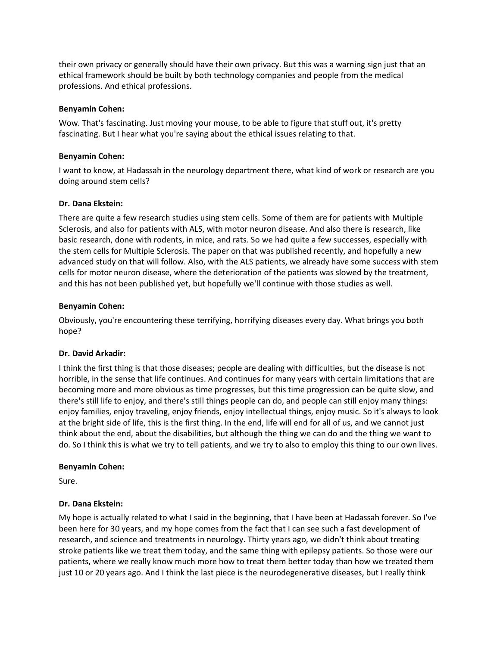their own privacy or generally should have their own privacy. But this was a warning sign just that an ethical framework should be built by both technology companies and people from the medical professions. And ethical professions.

### **Benyamin Cohen:**

Wow. That's fascinating. Just moving your mouse, to be able to figure that stuff out, it's pretty fascinating. But I hear what you're saying about the ethical issues relating to that.

### **Benyamin Cohen:**

I want to know, at Hadassah in the neurology department there, what kind of work or research are you doing around stem cells?

### **Dr. Dana Ekstein:**

There are quite a few research studies using stem cells. Some of them are for patients with Multiple Sclerosis, and also for patients with ALS, with motor neuron disease. And also there is research, like basic research, done with rodents, in mice, and rats. So we had quite a few successes, especially with the stem cells for Multiple Sclerosis. The paper on that was published recently, and hopefully a new advanced study on that will follow. Also, with the ALS patients, we already have some success with stem cells for motor neuron disease, where the deterioration of the patients was slowed by the treatment, and this has not been published yet, but hopefully we'll continue with those studies as well.

### **Benyamin Cohen:**

Obviously, you're encountering these terrifying, horrifying diseases every day. What brings you both hope?

## **Dr. David Arkadir:**

I think the first thing is that those diseases; people are dealing with difficulties, but the disease is not horrible, in the sense that life continues. And continues for many years with certain limitations that are becoming more and more obvious as time progresses, but this time progression can be quite slow, and there's still life to enjoy, and there's still things people can do, and people can still enjoy many things: enjoy families, enjoy traveling, enjoy friends, enjoy intellectual things, enjoy music. So it's always to look at the bright side of life, this is the first thing. In the end, life will end for all of us, and we cannot just think about the end, about the disabilities, but although the thing we can do and the thing we want to do. So I think this is what we try to tell patients, and we try to also to employ this thing to our own lives.

#### **Benyamin Cohen:**

Sure.

## **Dr. Dana Ekstein:**

My hope is actually related to what I said in the beginning, that I have been at Hadassah forever. So I've been here for 30 years, and my hope comes from the fact that I can see such a fast development of research, and science and treatments in neurology. Thirty years ago, we didn't think about treating stroke patients like we treat them today, and the same thing with epilepsy patients. So those were our patients, where we really know much more how to treat them better today than how we treated them just 10 or 20 years ago. And I think the last piece is the neurodegenerative diseases, but I really think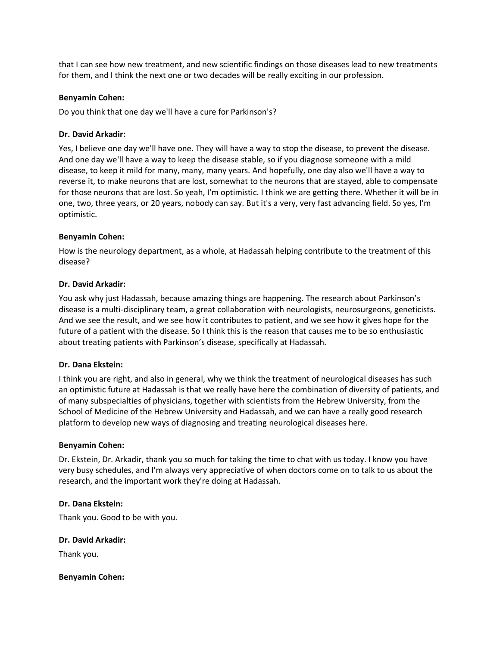that I can see how new treatment, and new scientific findings on those diseases lead to new treatments for them, and I think the next one or two decades will be really exciting in our profession.

### **Benyamin Cohen:**

Do you think that one day we'll have a cure for Parkinson's?

## **Dr. David Arkadir:**

Yes, I believe one day we'll have one. They will have a way to stop the disease, to prevent the disease. And one day we'll have a way to keep the disease stable, so if you diagnose someone with a mild disease, to keep it mild for many, many, many years. And hopefully, one day also we'll have a way to reverse it, to make neurons that are lost, somewhat to the neurons that are stayed, able to compensate for those neurons that are lost. So yeah, I'm optimistic. I think we are getting there. Whether it will be in one, two, three years, or 20 years, nobody can say. But it's a very, very fast advancing field. So yes, I'm optimistic.

### **Benyamin Cohen:**

How is the neurology department, as a whole, at Hadassah helping contribute to the treatment of this disease?

### **Dr. David Arkadir:**

You ask why just Hadassah, because amazing things are happening. The research about Parkinson's disease is a multi-disciplinary team, a great collaboration with neurologists, neurosurgeons, geneticists. And we see the result, and we see how it contributes to patient, and we see how it gives hope for the future of a patient with the disease. So I think this is the reason that causes me to be so enthusiastic about treating patients with Parkinson's disease, specifically at Hadassah.

## **Dr. Dana Ekstein:**

I think you are right, and also in general, why we think the treatment of neurological diseases has such an optimistic future at Hadassah is that we really have here the combination of diversity of patients, and of many subspecialties of physicians, together with scientists from the Hebrew University, from the School of Medicine of the Hebrew University and Hadassah, and we can have a really good research platform to develop new ways of diagnosing and treating neurological diseases here.

#### **Benyamin Cohen:**

Dr. Ekstein, Dr. Arkadir, thank you so much for taking the time to chat with us today. I know you have very busy schedules, and I'm always very appreciative of when doctors come on to talk to us about the research, and the important work they're doing at Hadassah.

## **Dr. Dana Ekstein:**

Thank you. Good to be with you.

## **Dr. David Arkadir:**

Thank you.

#### **Benyamin Cohen:**